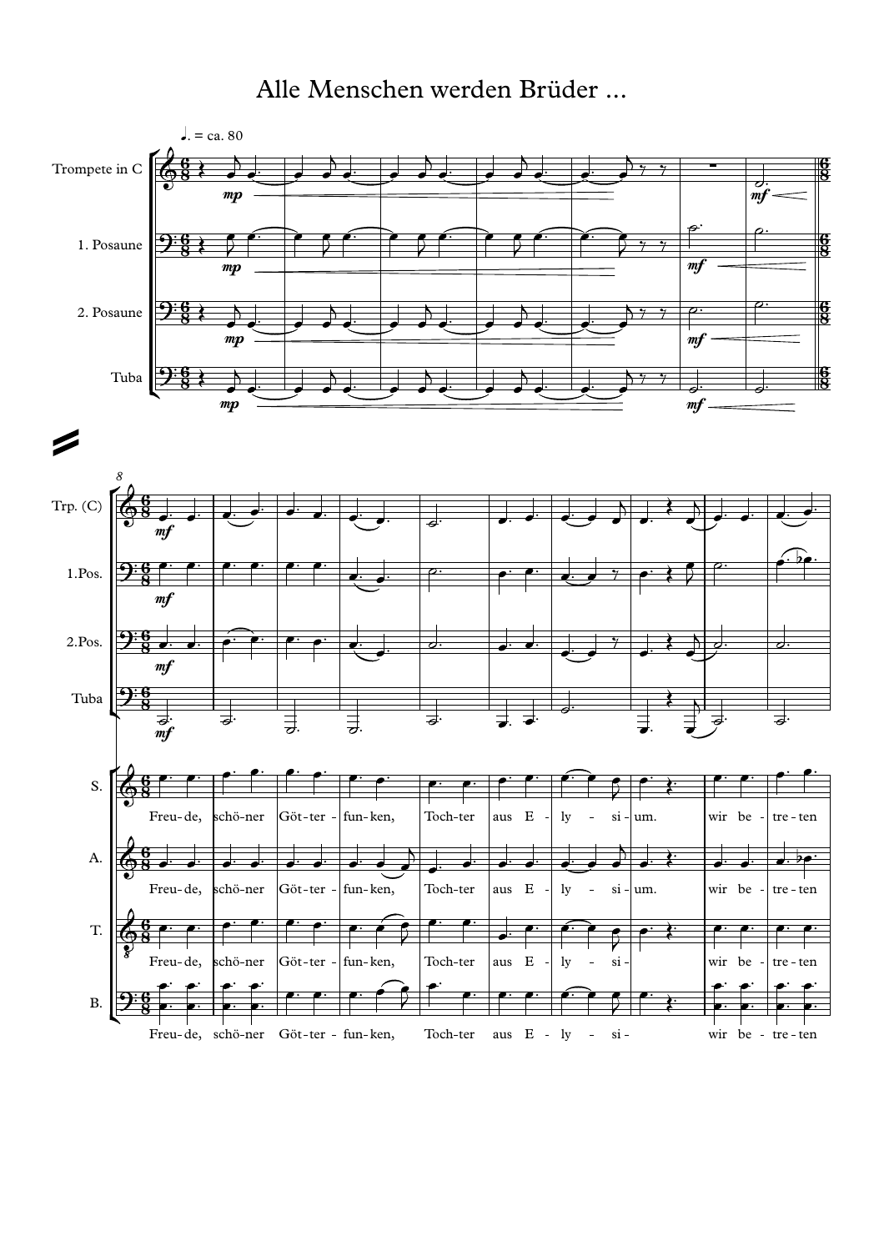Alle Menschen werden Brüder ...

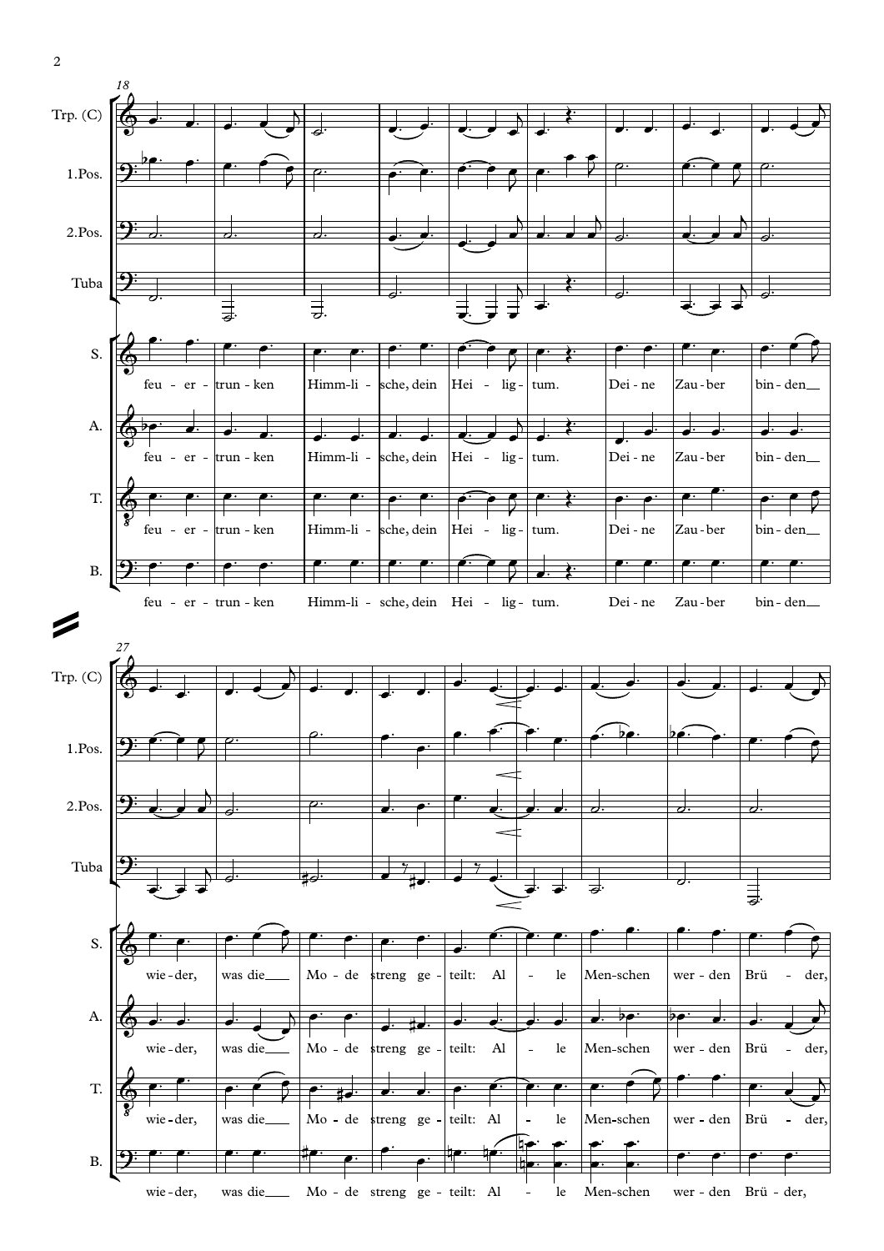

2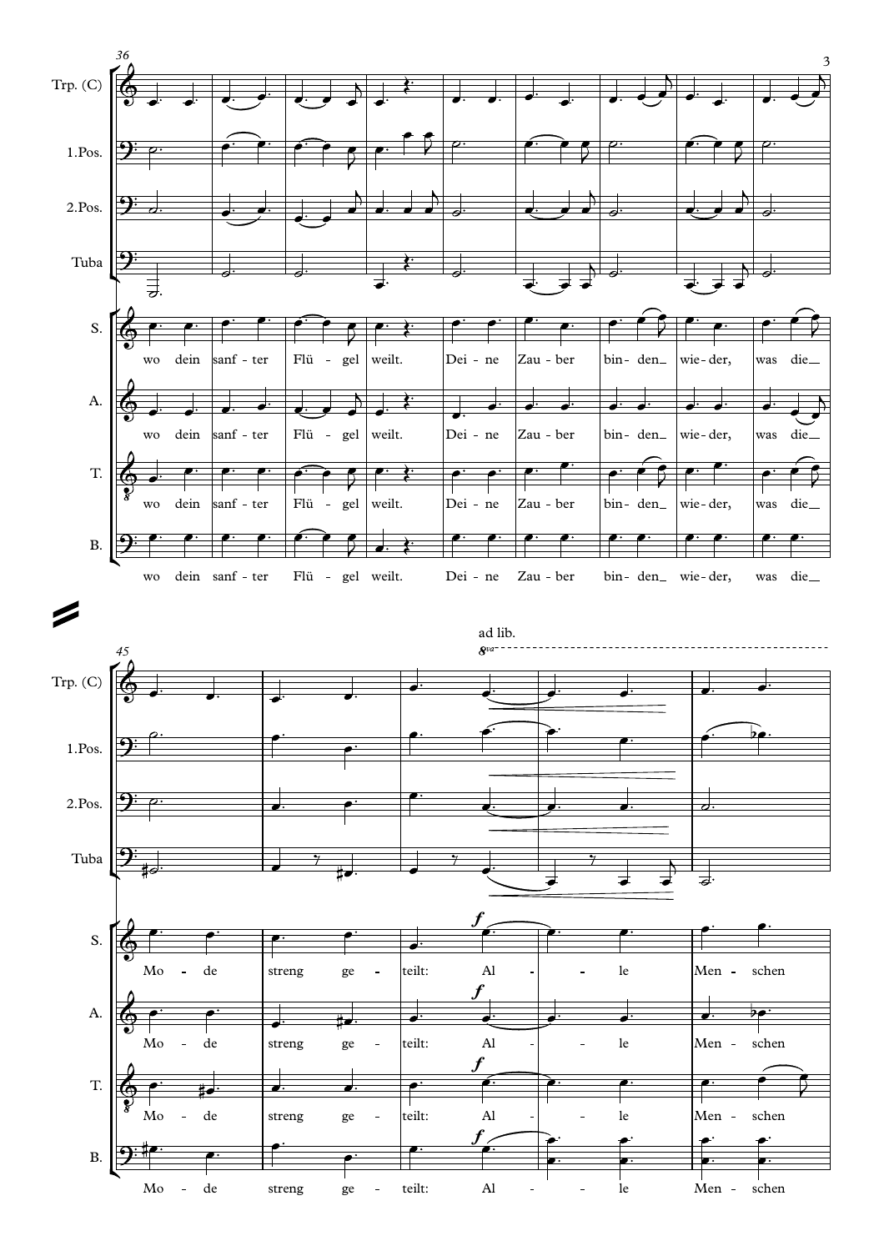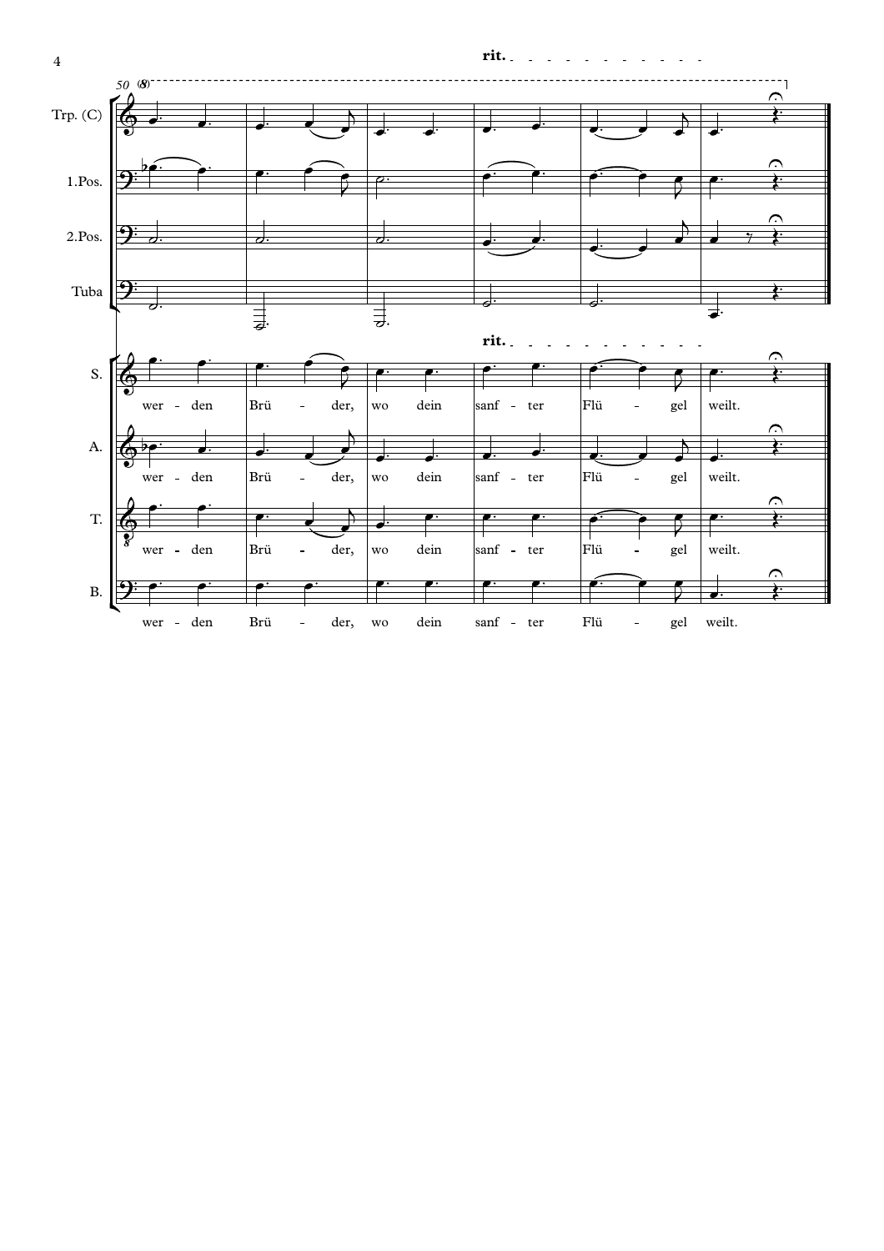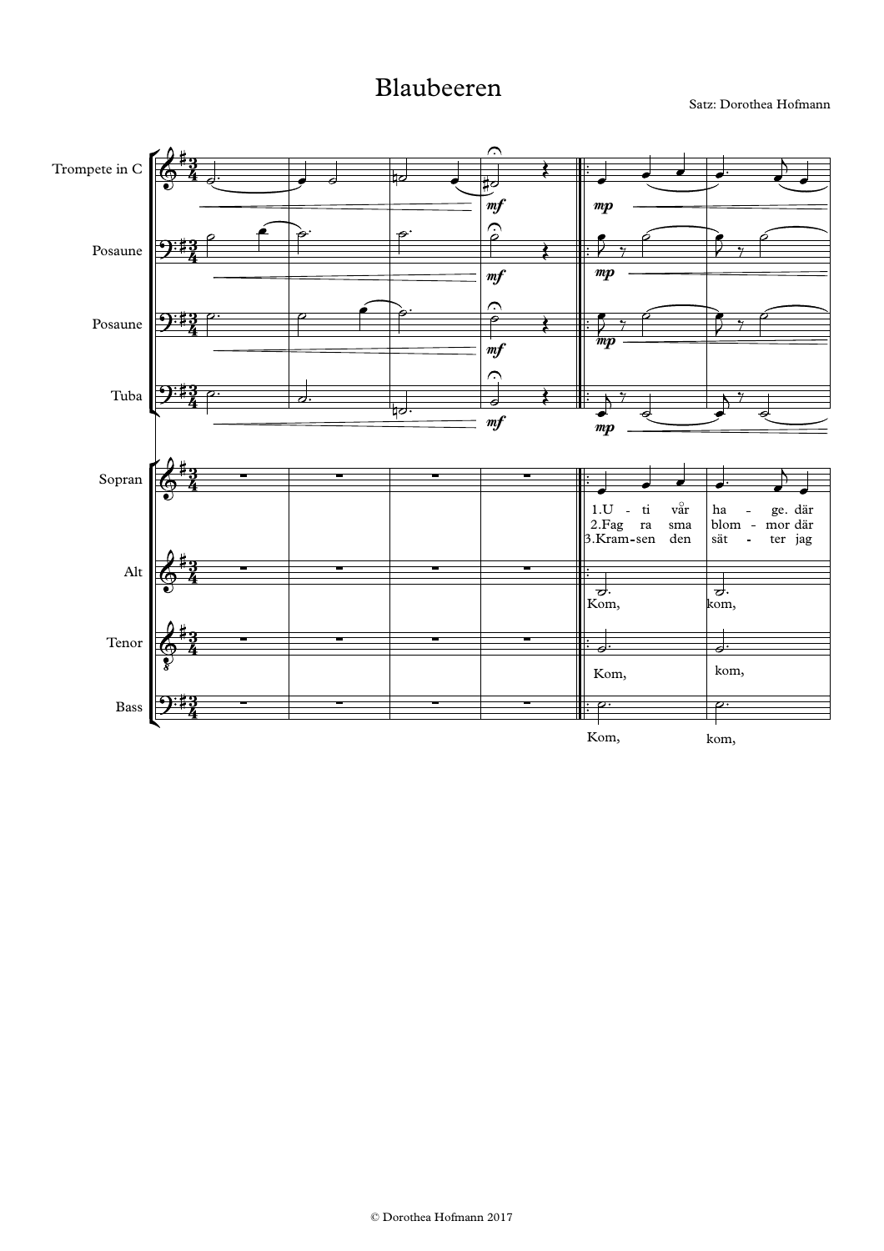## Blaubeeren

Satz: Dorothea Hofmann

![](_page_4_Figure_2.jpeg)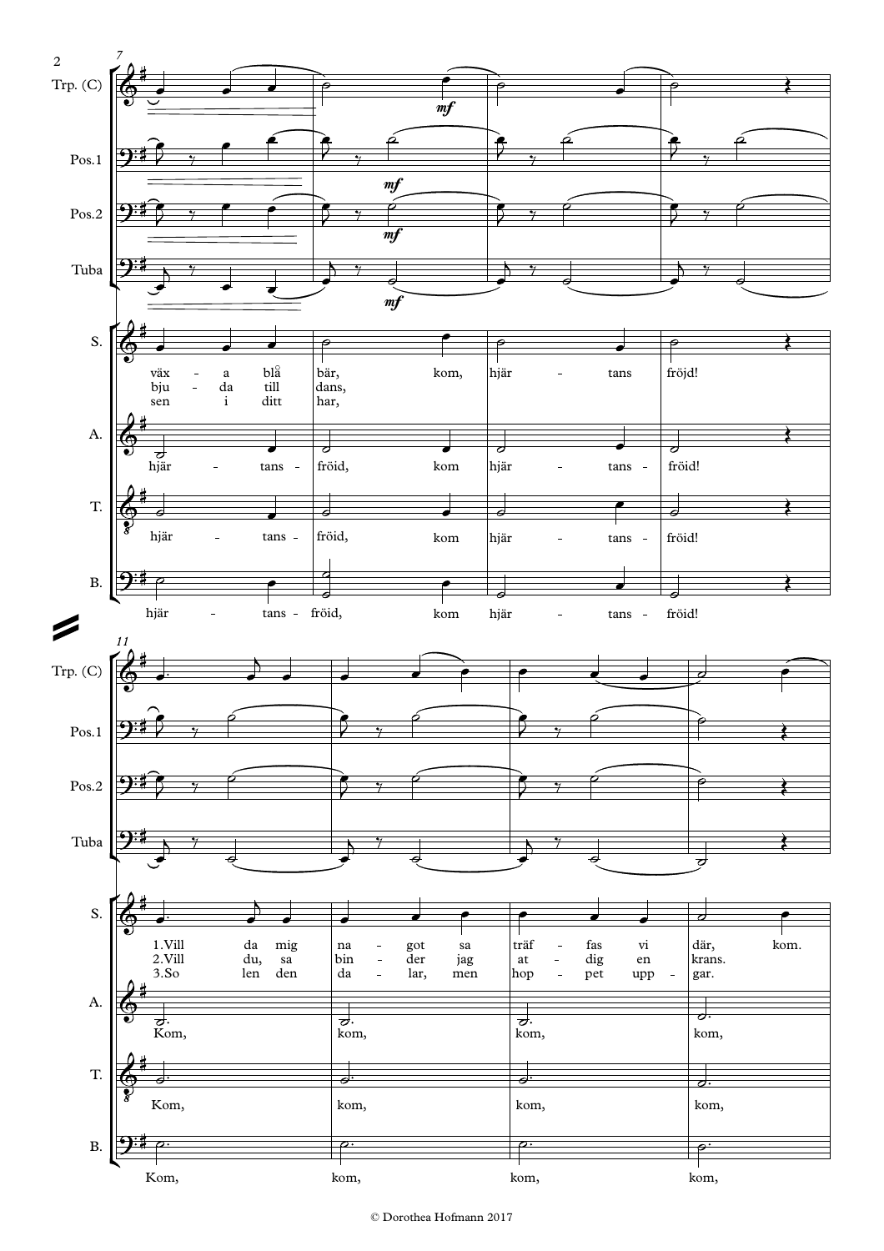![](_page_5_Figure_0.jpeg)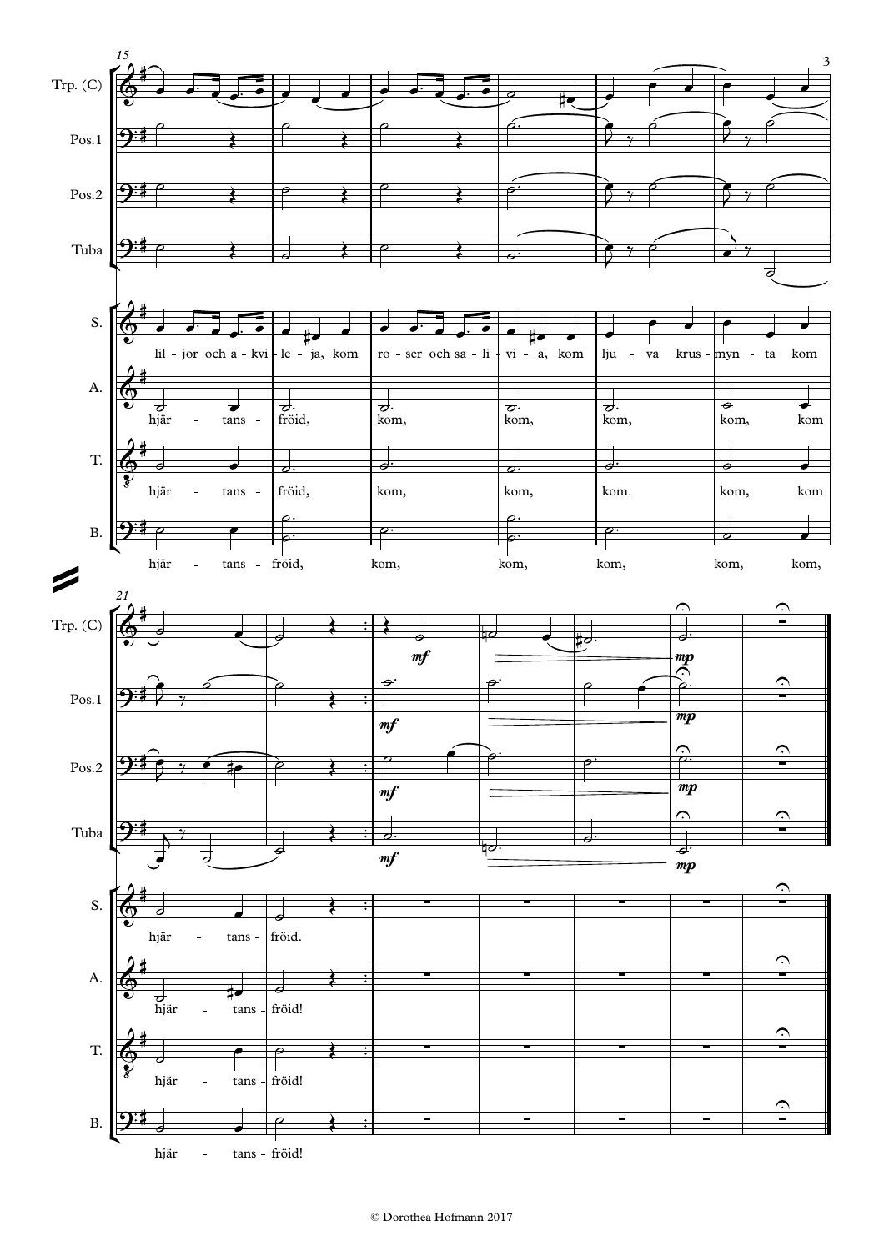![](_page_6_Figure_0.jpeg)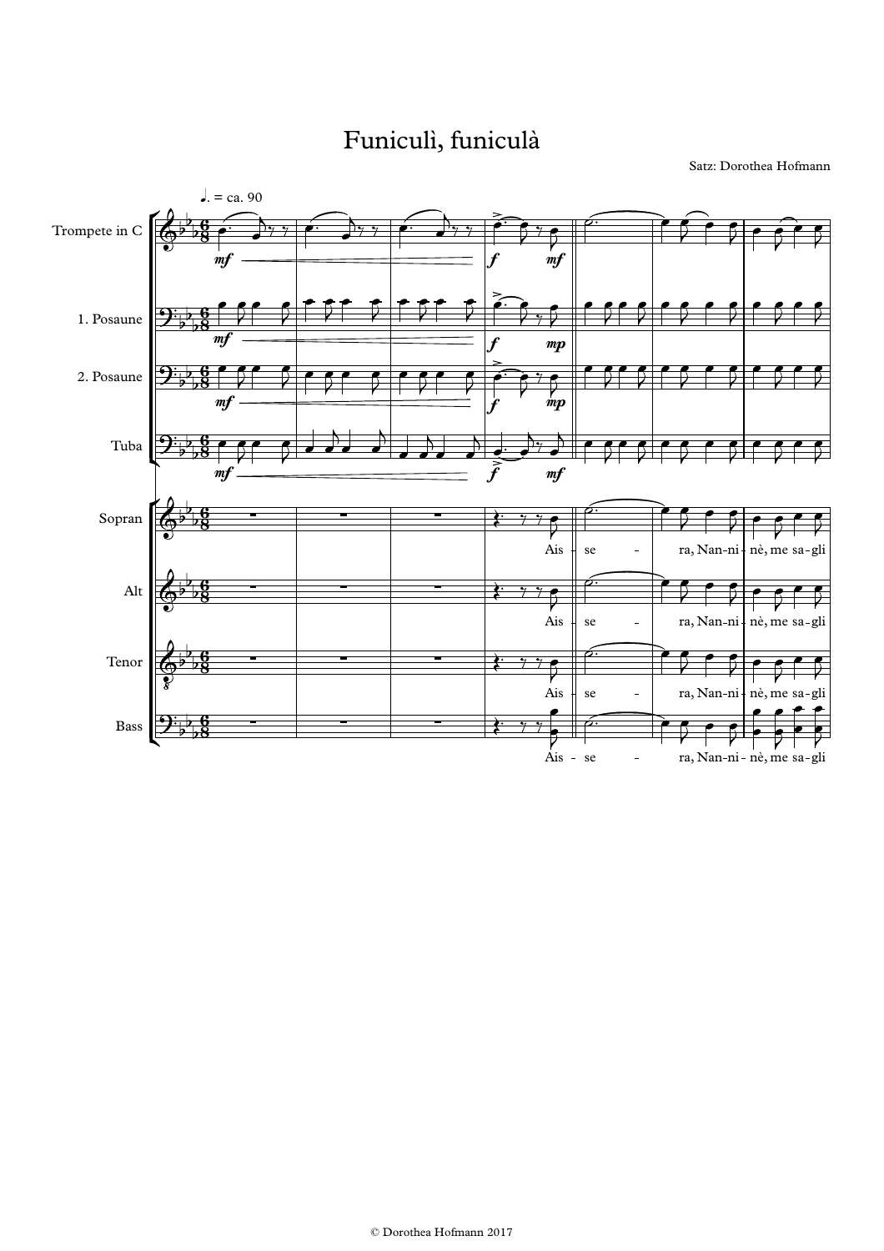# Funiculì, funiculà

Satz: Dorothea Hofmann

![](_page_7_Figure_2.jpeg)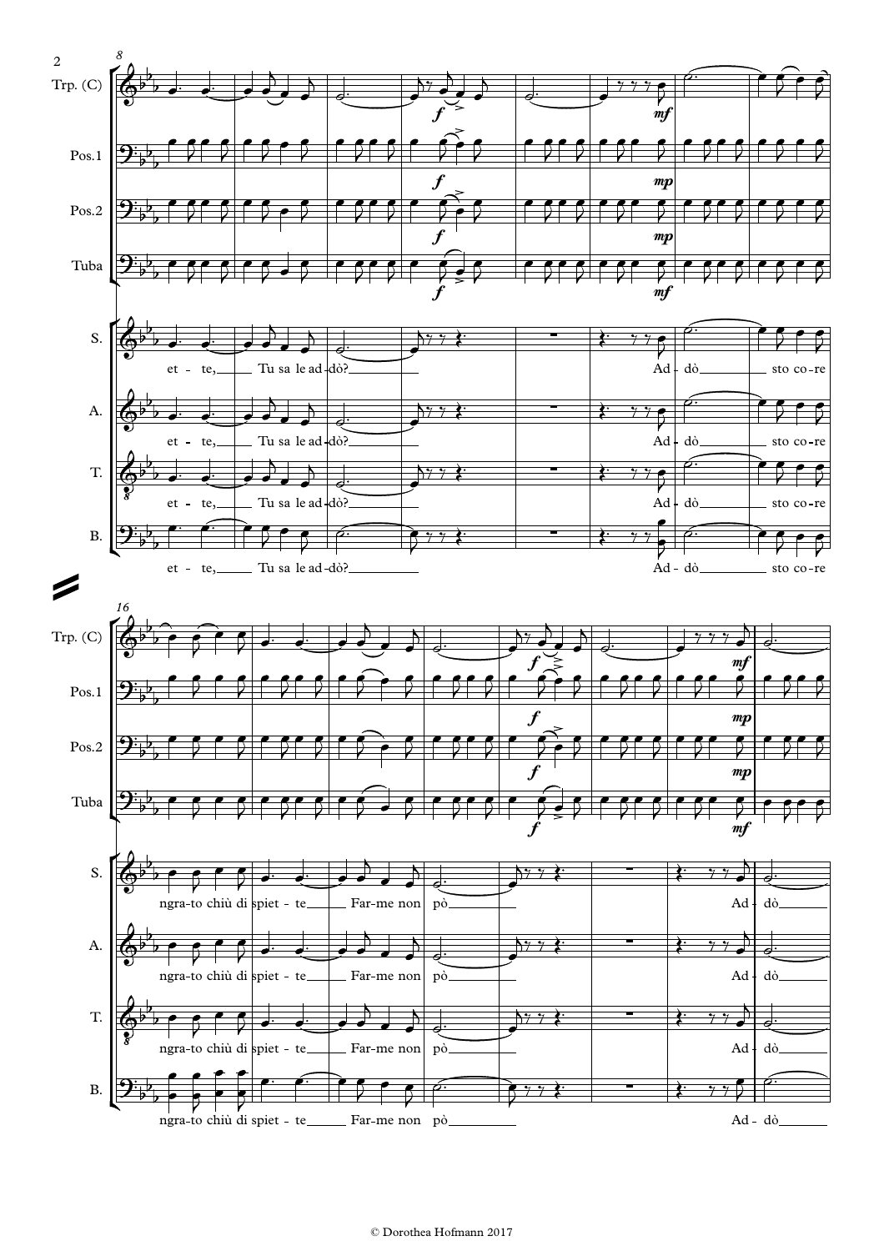![](_page_8_Figure_0.jpeg)

### © Dorothea Hofmann 2017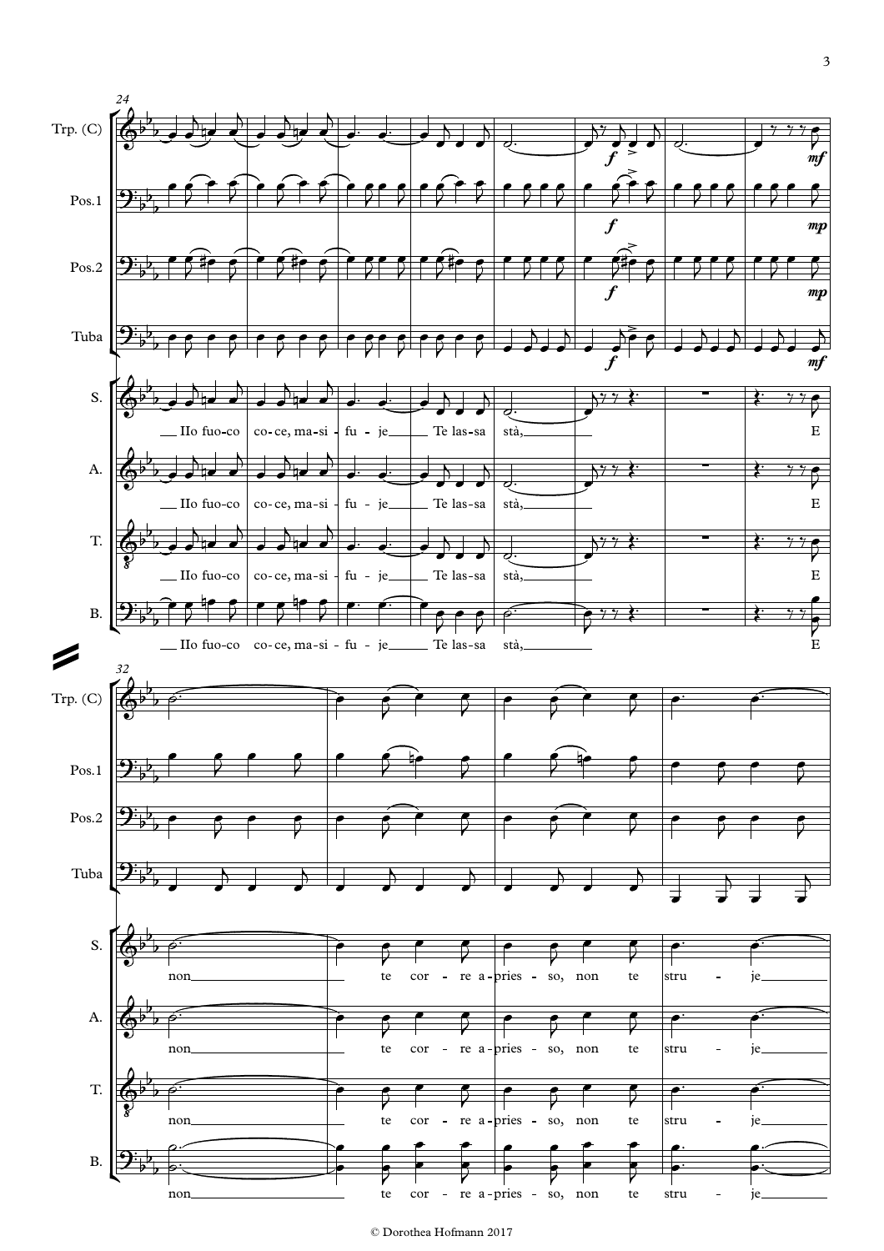![](_page_9_Figure_0.jpeg)

#### © Dorothea Hofmann 2017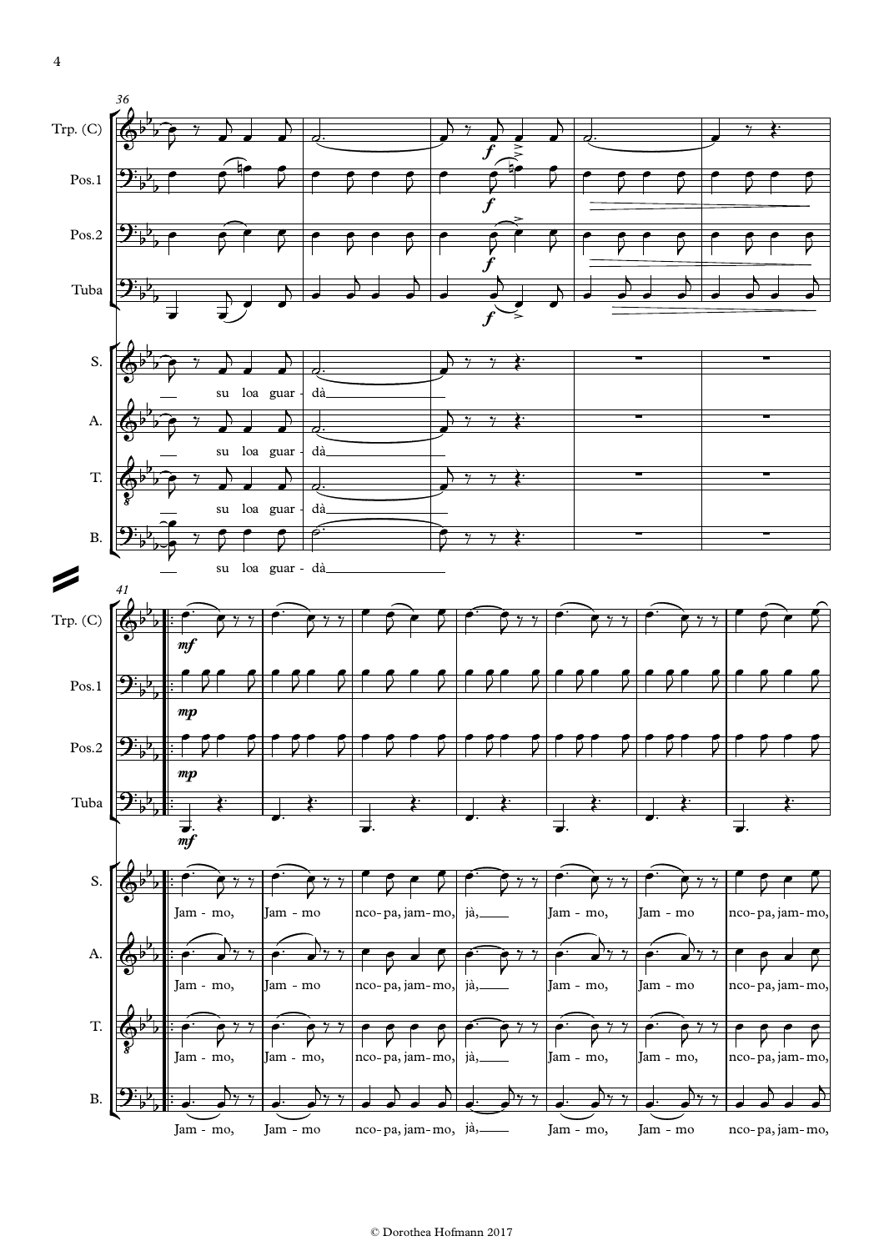![](_page_10_Figure_0.jpeg)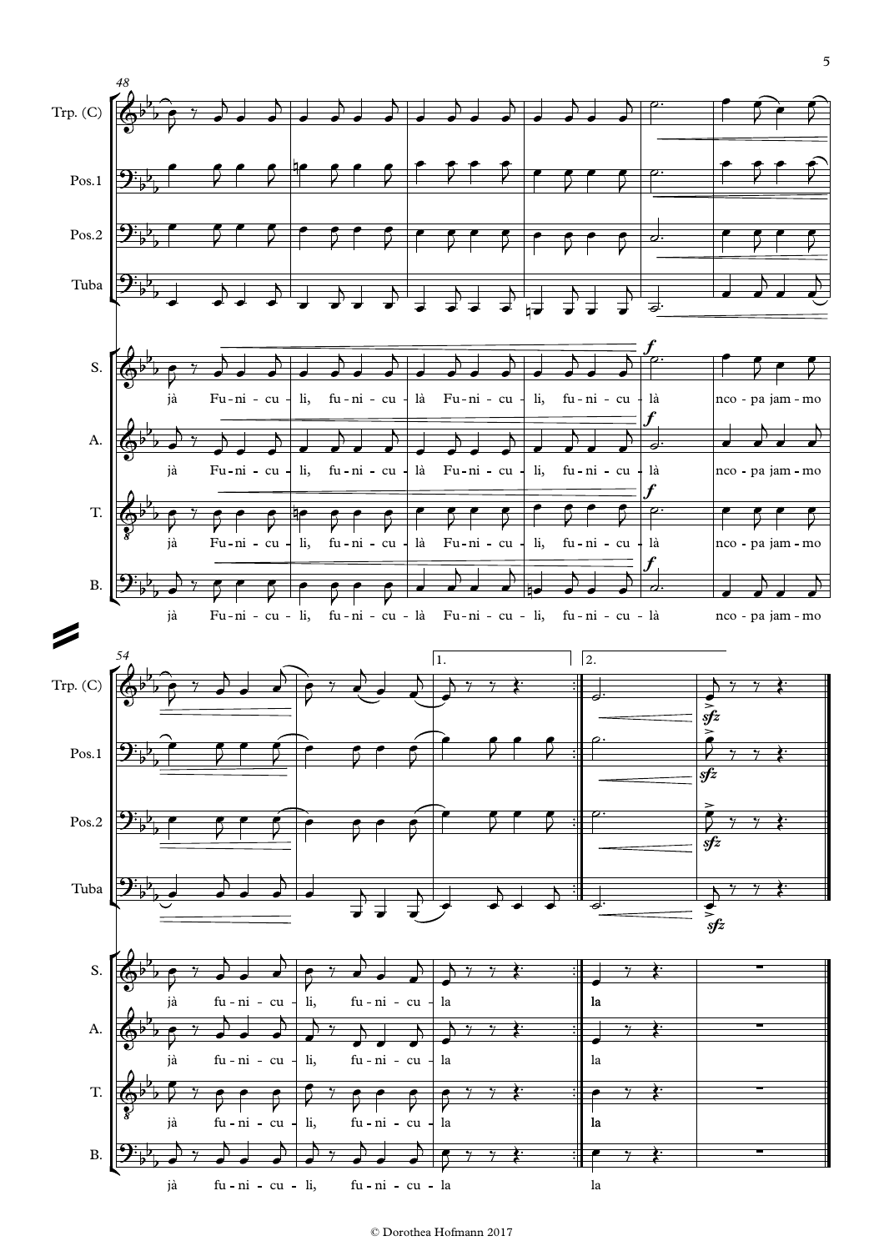![](_page_11_Figure_0.jpeg)

© Dorothea Hofmann 2017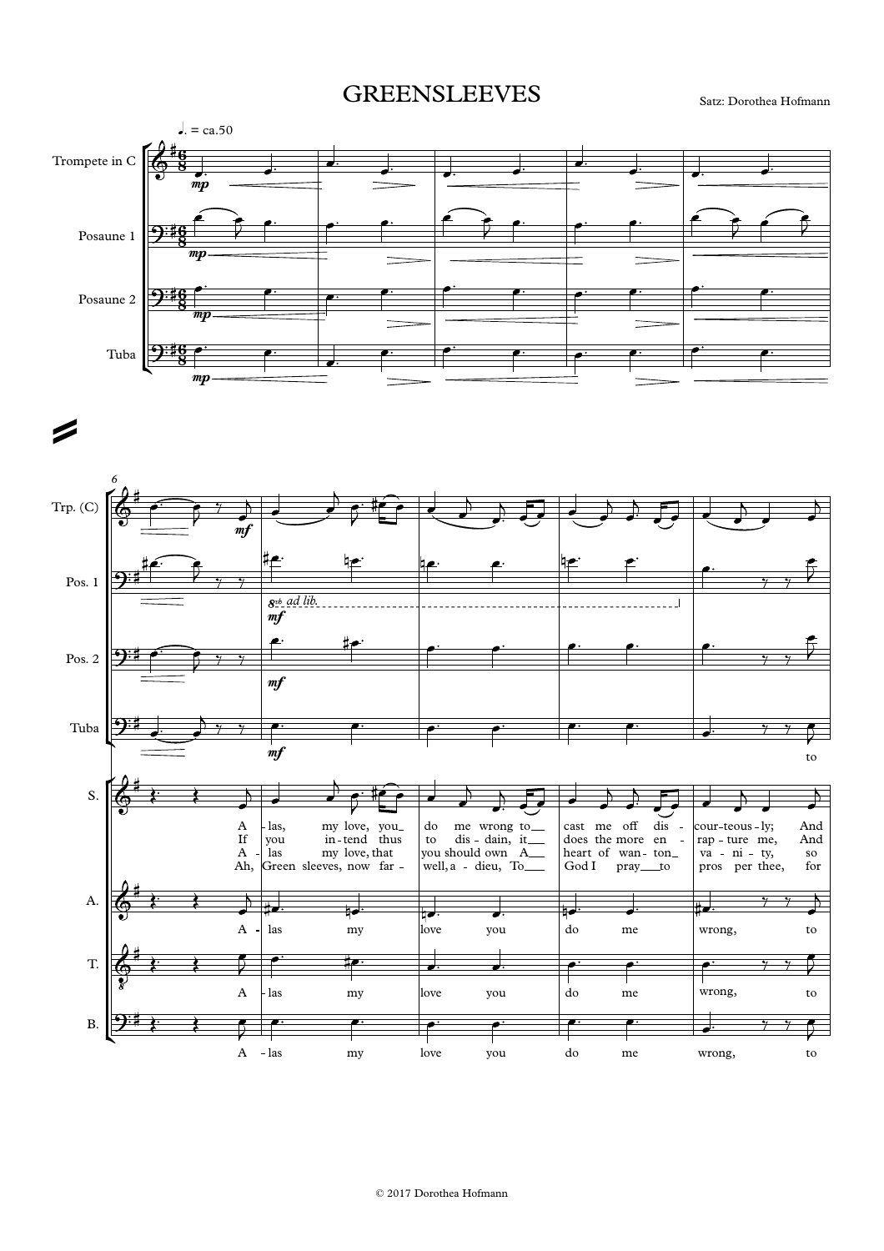## GREENSLEEVES Satz: Dorothea Hofmann

![](_page_12_Figure_2.jpeg)

 $\rightarrow$ 

![](_page_12_Figure_4.jpeg)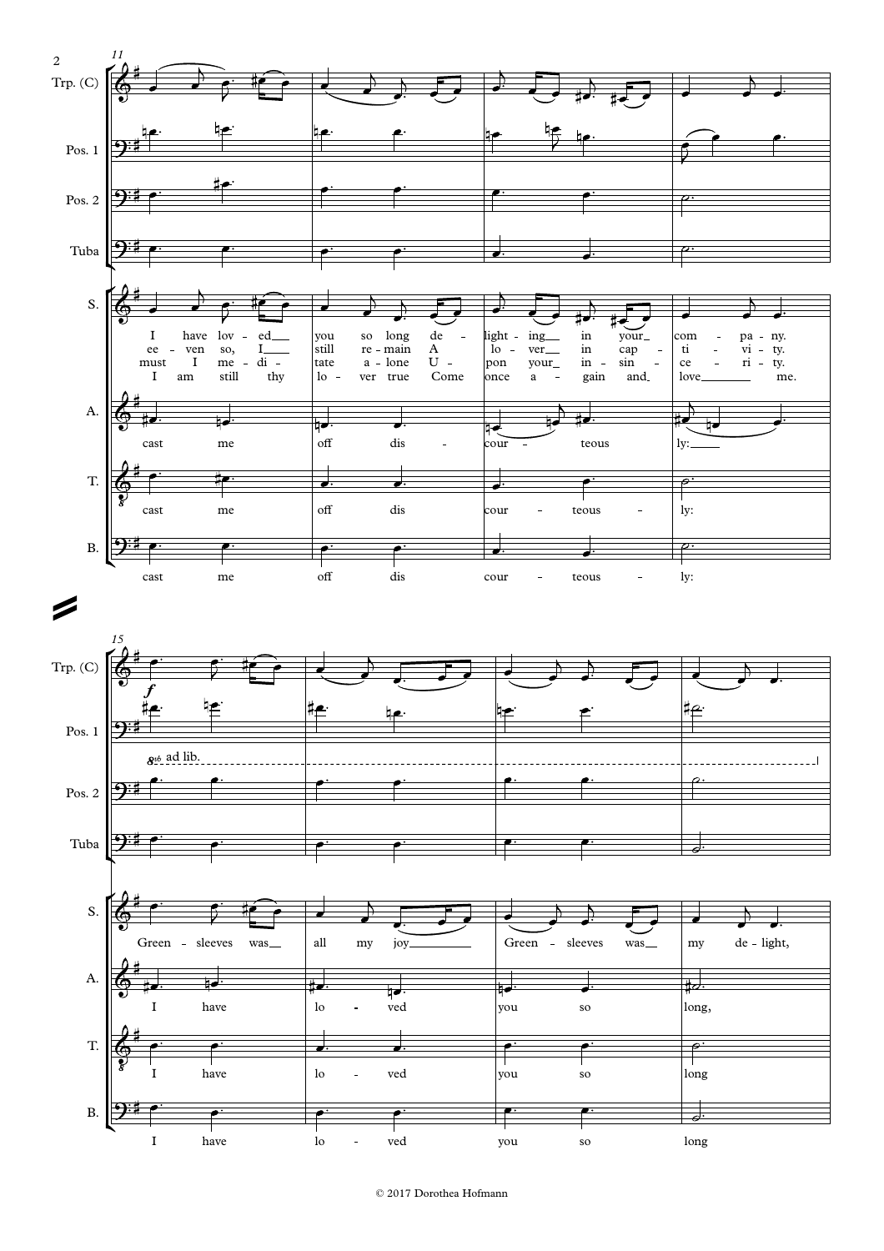![](_page_13_Figure_0.jpeg)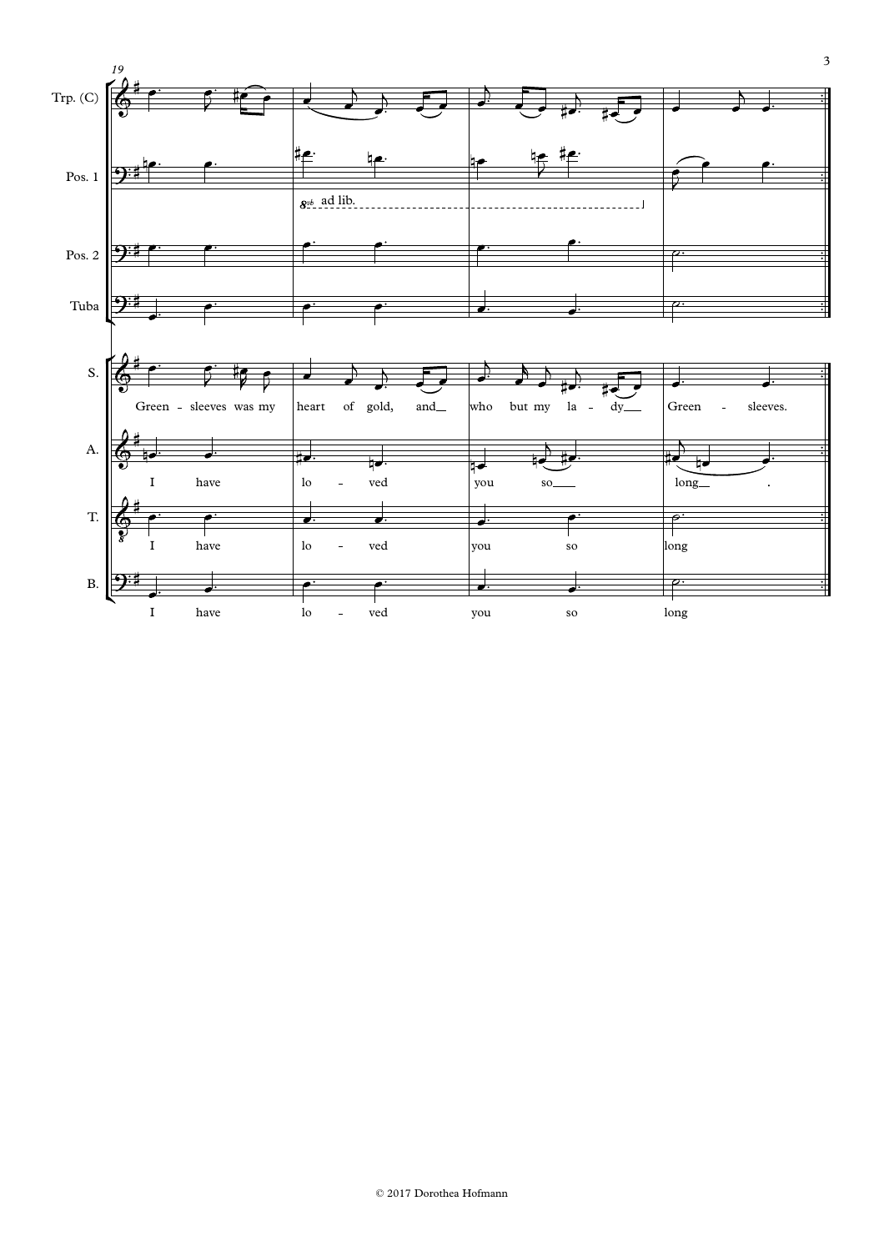![](_page_14_Figure_0.jpeg)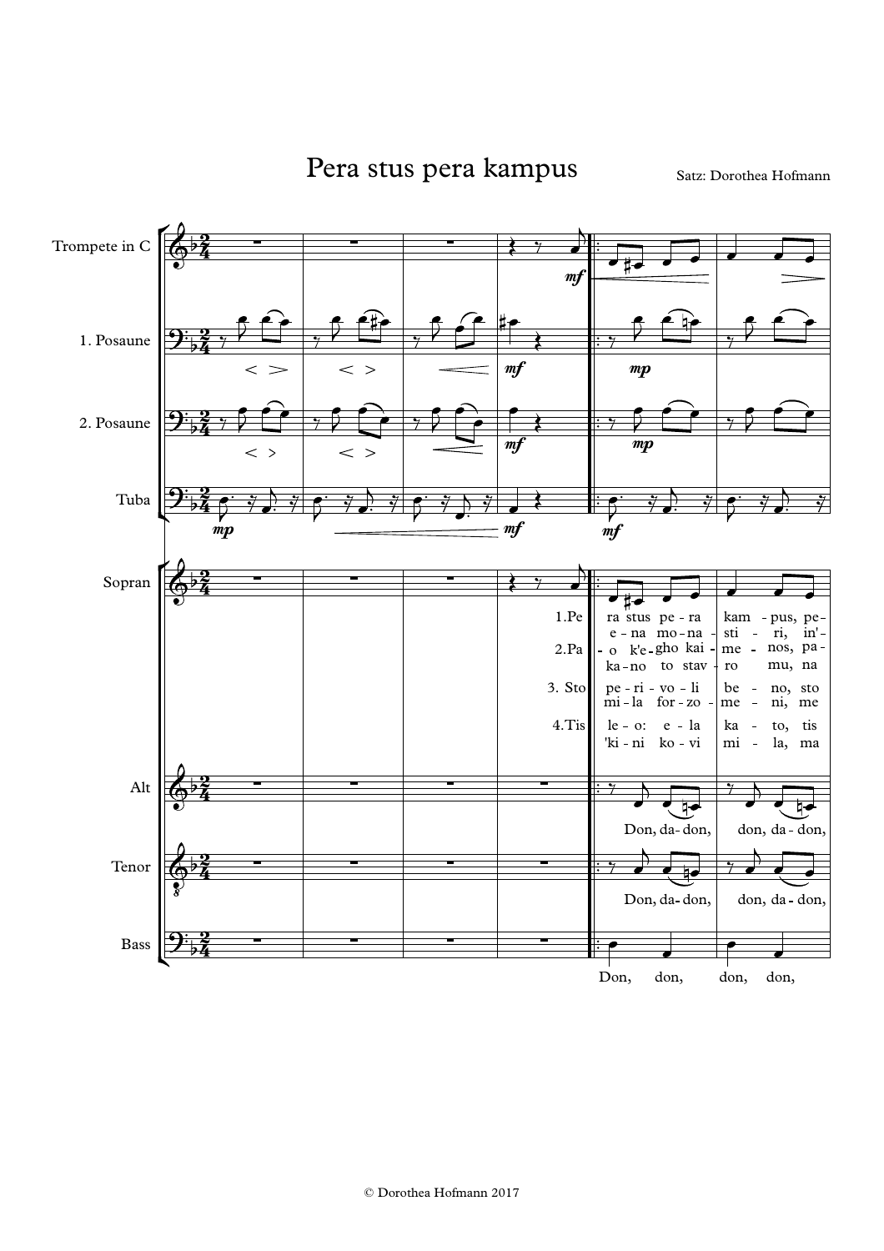Pera stus pera kampus Satz: Dorothea Hofmann

![](_page_15_Figure_2.jpeg)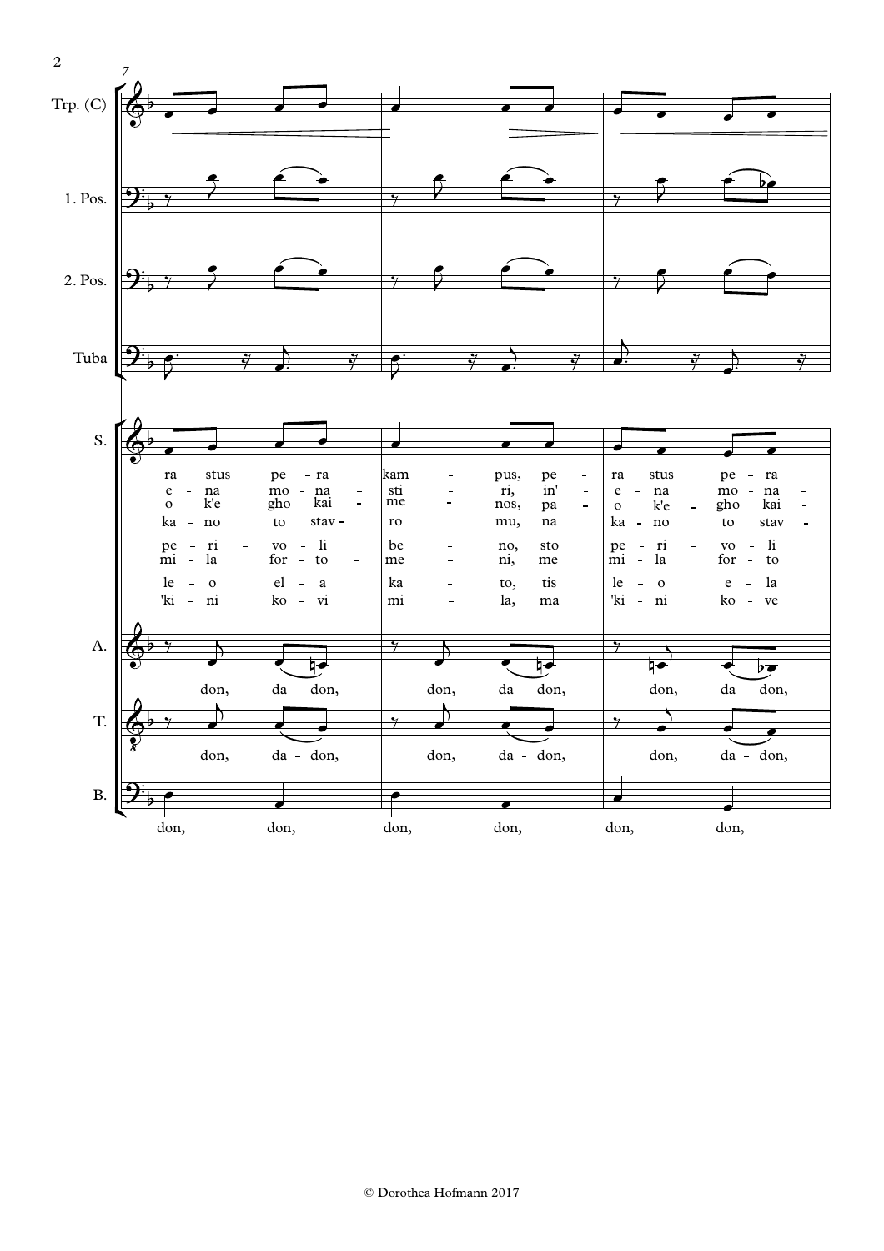![](_page_16_Figure_0.jpeg)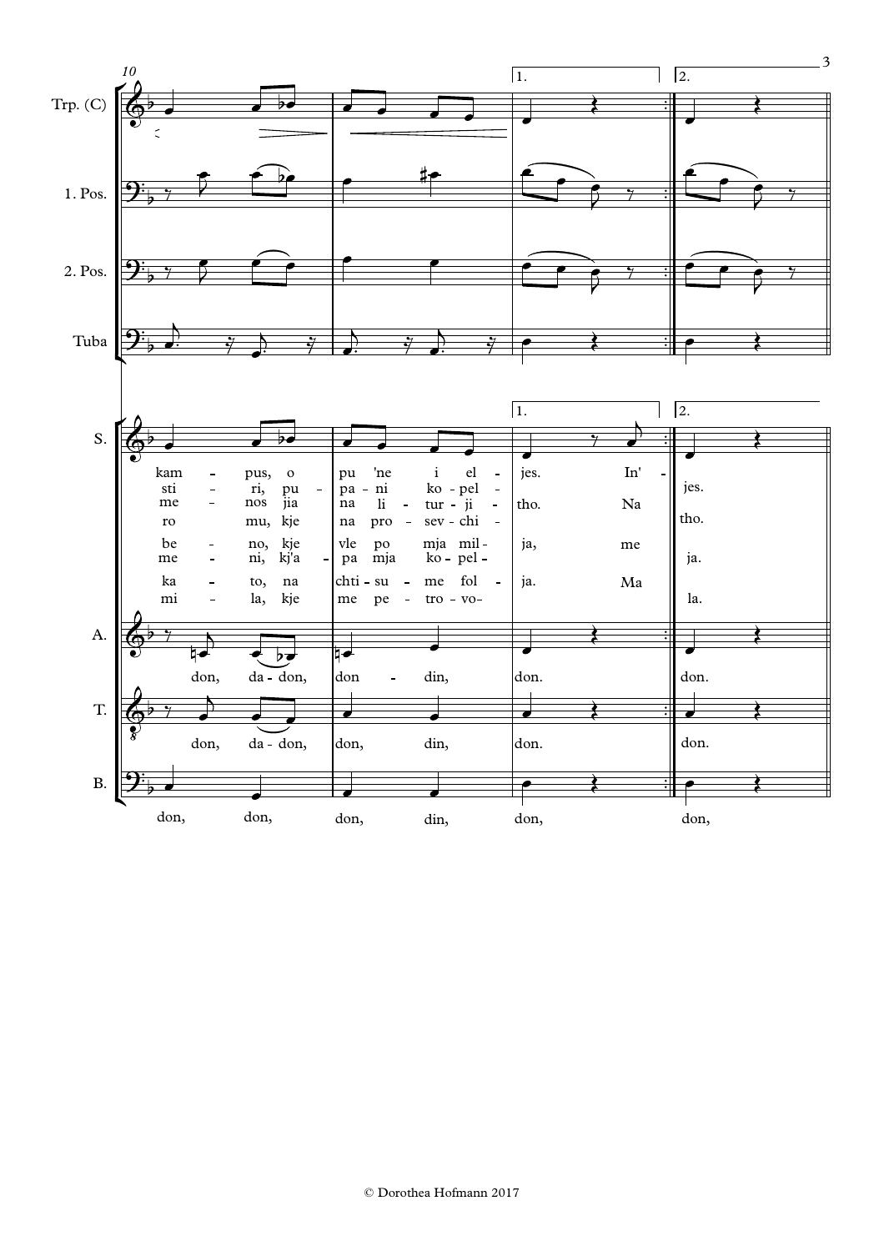![](_page_17_Figure_0.jpeg)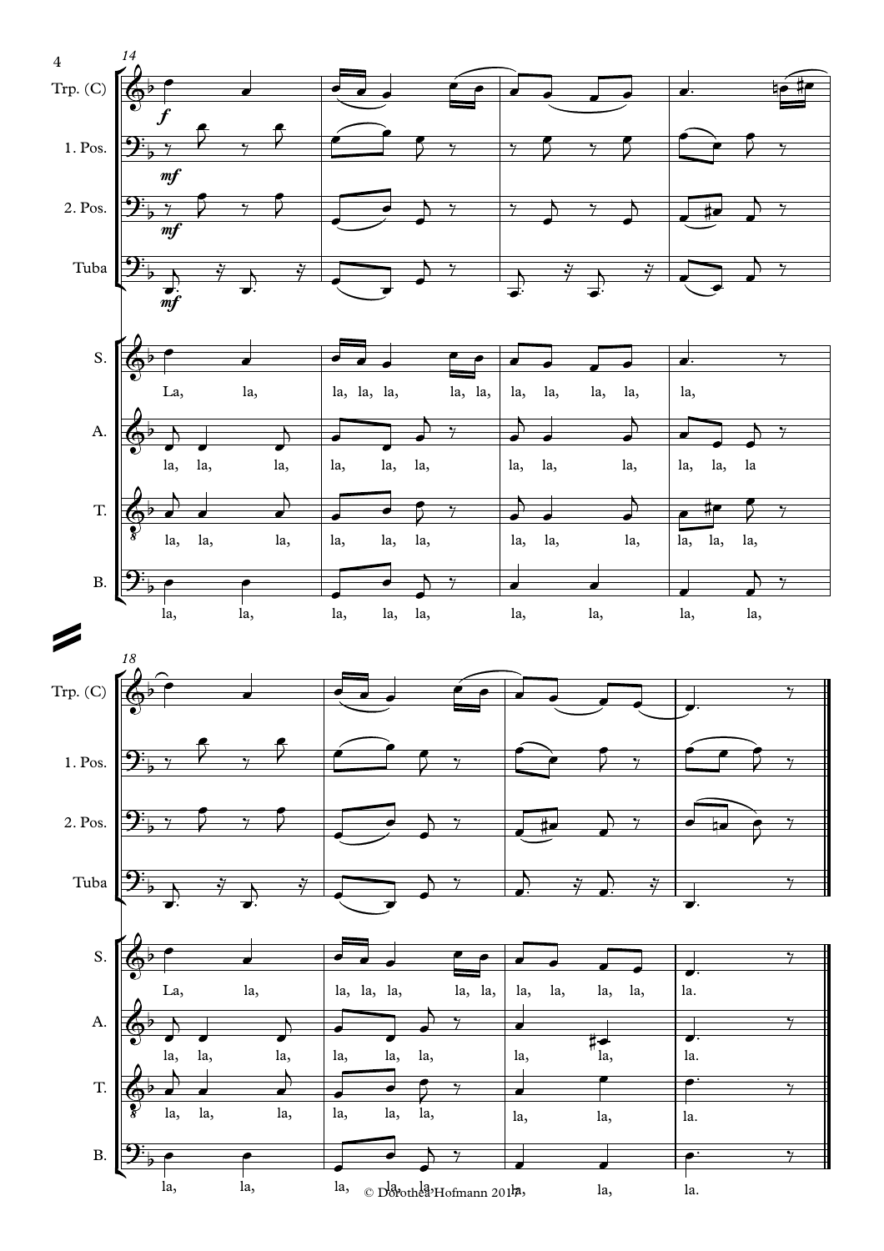![](_page_18_Figure_0.jpeg)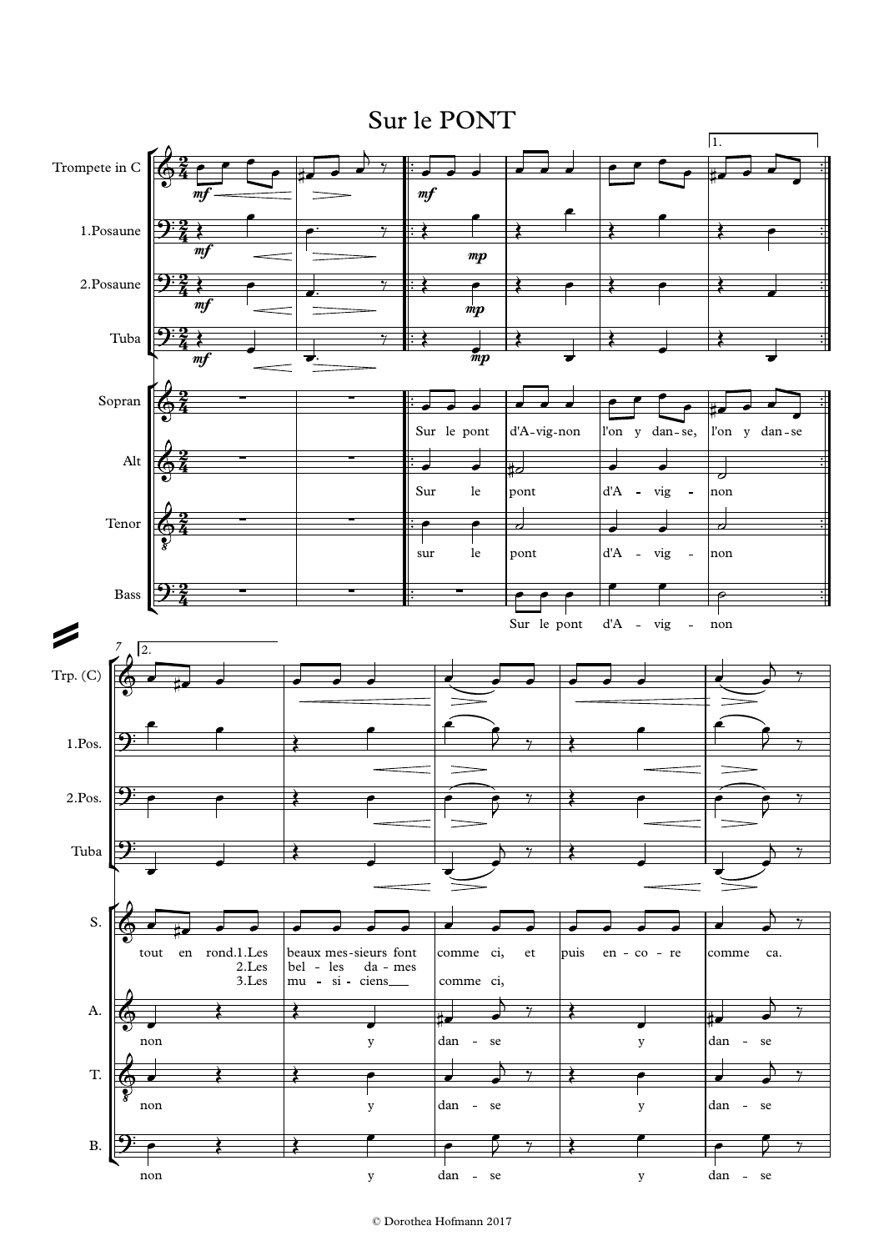## Sur le PONT

![](_page_19_Figure_1.jpeg)